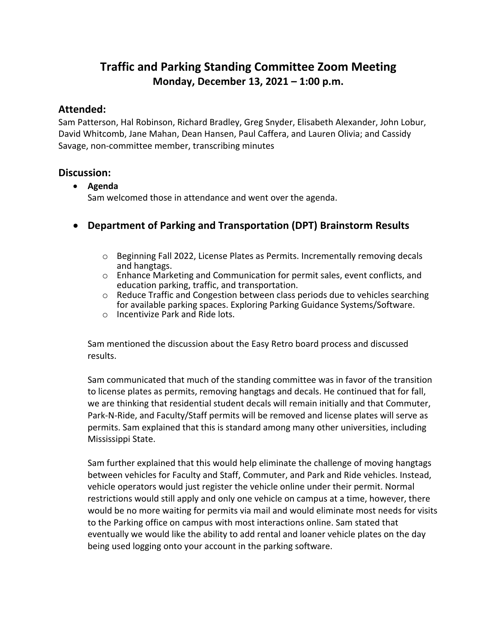# **Traffic and Parking Standing Committee Zoom Meeting Monday, December 13, 2021 – 1:00 p.m.**

### **Attended:**

Sam Patterson, Hal Robinson, Richard Bradley, Greg Snyder, Elisabeth Alexander, John Lobur, David Whitcomb, Jane Mahan, Dean Hansen, Paul Caffera, and Lauren Olivia; and Cassidy Savage, non‐committee member, transcribing minutes

### **Discussion:**

- **Agenda** Sam welcomed those in attendance and went over the agenda.
- **Department of Parking and Transportation (DPT) Brainstorm Results**
	- $\circ$  Beginning Fall 2022, License Plates as Permits. Incrementally removing decals and hangtags.
	- $\circ$  Enhance Marketing and Communication for permit sales, event conflicts, and education parking, traffic, and transportation.
	- $\circ$  Reduce Traffic and Congestion between class periods due to vehicles searching for available parking spaces. Exploring Parking Guidance Systems/Software.
	- o Incentivize Park and Ride lots.

Sam mentioned the discussion about the Easy Retro board process and discussed results.

Sam communicated that much of the standing committee was in favor of the transition to license plates as permits, removing hangtags and decals. He continued that for fall, we are thinking that residential student decals will remain initially and that Commuter, Park‐N‐Ride, and Faculty/Staff permits will be removed and license plates will serve as permits. Sam explained that this is standard among many other universities, including Mississippi State.

Sam further explained that this would help eliminate the challenge of moving hangtags between vehicles for Faculty and Staff, Commuter, and Park and Ride vehicles. Instead, vehicle operators would just register the vehicle online under their permit. Normal restrictions would still apply and only one vehicle on campus at a time, however, there would be no more waiting for permits via mail and would eliminate most needs for visits to the Parking office on campus with most interactions online. Sam stated that eventually we would like the ability to add rental and loaner vehicle plates on the day being used logging onto your account in the parking software.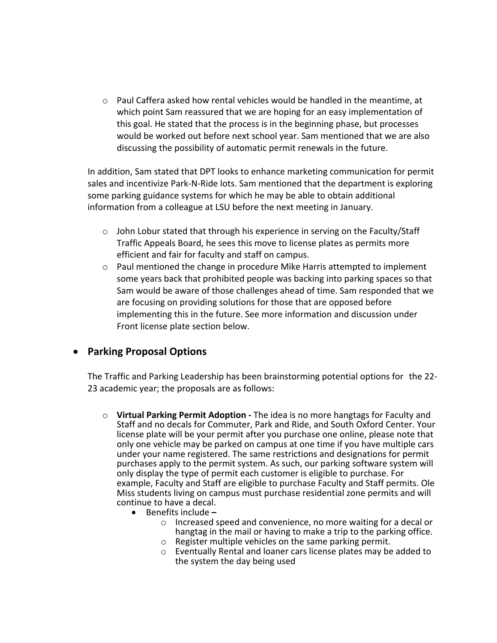$\circ$  Paul Caffera asked how rental vehicles would be handled in the meantime, at which point Sam reassured that we are hoping for an easy implementation of this goal. He stated that the process is in the beginning phase, but processes would be worked out before next school year. Sam mentioned that we are also discussing the possibility of automatic permit renewals in the future.

In addition, Sam stated that DPT looks to enhance marketing communication for permit sales and incentivize Park‐N‐Ride lots. Sam mentioned that the department is exploring some parking guidance systems for which he may be able to obtain additional information from a colleague at LSU before the next meeting in January.

- $\circ$  John Lobur stated that through his experience in serving on the Faculty/Staff Traffic Appeals Board, he sees this move to license plates as permits more efficient and fair for faculty and staff on campus.
- o Paul mentioned the change in procedure Mike Harris attempted to implement some years back that prohibited people was backing into parking spaces so that Sam would be aware of those challenges ahead of time. Sam responded that we are focusing on providing solutions for those that are opposed before implementing this in the future. See more information and discussion under Front license plate section below.

## **Parking Proposal Options**

The Traffic and Parking Leadership has been brainstorming potential options for the 22‐ 23 academic year; the proposals are as follows:

- o **Virtual Parking Permit Adoption ‐** The idea is no more hangtags for Faculty and Staff and no decals for Commuter, Park and Ride, and South Oxford Center. Your license plate will be your permit after you purchase one online, please note that only one vehicle may be parked on campus at one time if you have multiple cars under your name registered. The same restrictions and designations for permit purchases apply to the permit system. As such, our parking software system will only display the type of permit each customer is eligible to purchase. For example, Faculty and Staff are eligible to purchase Faculty and Staff permits. Ole Miss students living on campus must purchase residential zone permits and will continue to have a decal.
	- Benefits include **–**
		- o Increased speed and convenience, no more waiting for a decal or hangtag in the mail or having to make a trip to the parking office.
		- o Register multiple vehicles on the same parking permit.
		- o Eventually Rental and loaner cars license plates may be added to the system the day being used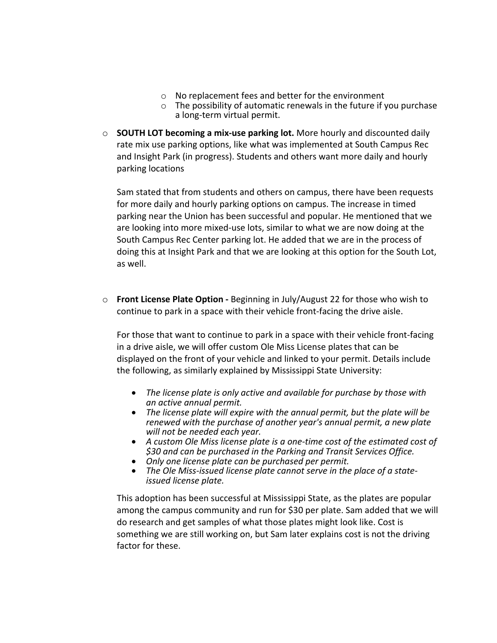- o No replacement fees and better for the environment
- $\circ$  The possibility of automatic renewals in the future if you purchase a long‐term virtual permit.
- o **SOUTH LOT becoming a mix‐use parking lot.** More hourly and discounted daily rate mix use parking options, like what was implemented at South Campus Rec and Insight Park (in progress). Students and others want more daily and hourly parking locations

Sam stated that from students and others on campus, there have been requests for more daily and hourly parking options on campus. The increase in timed parking near the Union has been successful and popular. He mentioned that we are looking into more mixed‐use lots, similar to what we are now doing at the South Campus Rec Center parking lot. He added that we are in the process of doing this at Insight Park and that we are looking at this option for the South Lot, as well.

o **Front License Plate Option ‐** Beginning in July/August 22 for those who wish to continue to park in a space with their vehicle front‐facing the drive aisle.

For those that want to continue to park in a space with their vehicle front‐facing in a drive aisle, we will offer custom Ole Miss License plates that can be displayed on the front of your vehicle and linked to your permit. Details include the following, as similarly explained by Mississippi State University:

- *The license plate is only active and available for purchase by those with*
- The license plate will expire with the annual permit, but the plate will be *renewed with the purchase of another year's annual permit, a new plate will not be needed each year.*
- *A custom Ole Miss license plate is a one‐time cost of the estimated cost of \$30 and can be purchased in the Parking and Transit Services Office.*
- *Only one license plate can be purchased per permit.*
- The Ole Miss-issued license plate cannot serve in the place of a state-<br>issued license plate.

This adoption has been successful at Mississippi State, as the plates are popular among the campus community and run for \$30 per plate. Sam added that we will do research and get samples of what those plates might look like. Cost is something we are still working on, but Sam later explains cost is not the driving factor for these.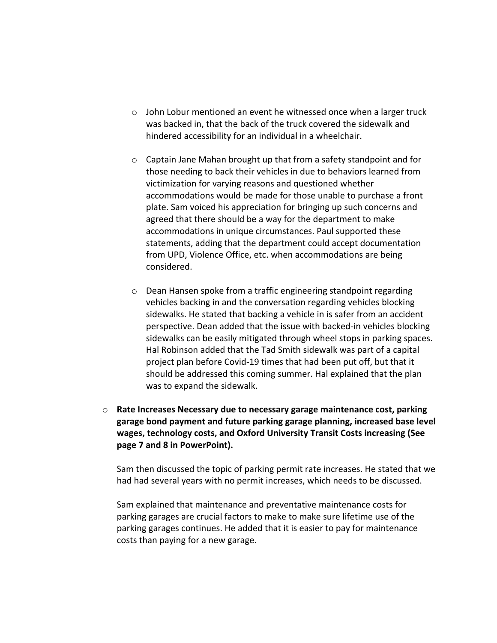- o John Lobur mentioned an event he witnessed once when a larger truck was backed in, that the back of the truck covered the sidewalk and hindered accessibility for an individual in a wheelchair.
- o Captain Jane Mahan brought up that from a safety standpoint and for those needing to back their vehicles in due to behaviors learned from victimization for varying reasons and questioned whether accommodations would be made for those unable to purchase a front plate. Sam voiced his appreciation for bringing up such concerns and agreed that there should be a way for the department to make accommodations in unique circumstances. Paul supported these statements, adding that the department could accept documentation from UPD, Violence Office, etc. when accommodations are being considered.
- o Dean Hansen spoke from a traffic engineering standpoint regarding vehicles backing in and the conversation regarding vehicles blocking sidewalks. He stated that backing a vehicle in is safer from an accident perspective. Dean added that the issue with backed‐in vehicles blocking sidewalks can be easily mitigated through wheel stops in parking spaces. Hal Robinson added that the Tad Smith sidewalk was part of a capital project plan before Covid‐19 times that had been put off, but that it should be addressed this coming summer. Hal explained that the plan was to expand the sidewalk.
- o **Rate Increases Necessary due to necessary garage maintenance cost, parking garage bond payment and future parking garage planning, increased base level wages, technology costs, and Oxford University Transit Costs increasing (See page 7 and 8 in PowerPoint).**

Sam then discussed the topic of parking permit rate increases. He stated that we had had several years with no permit increases, which needs to be discussed.

Sam explained that maintenance and preventative maintenance costs for parking garages are crucial factors to make to make sure lifetime use of the parking garages continues. He added that it is easier to pay for maintenance costs than paying for a new garage.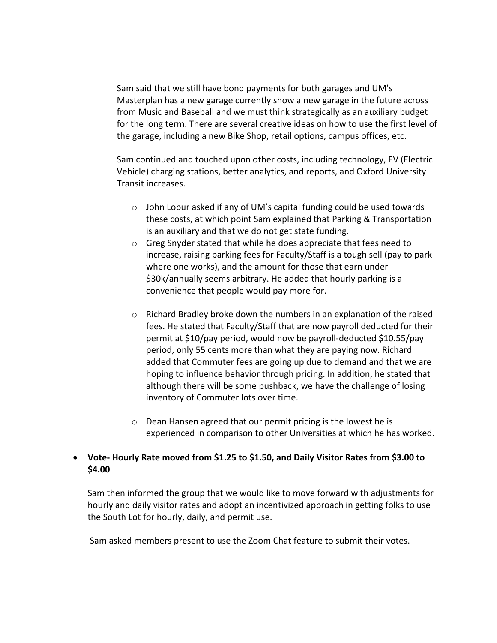Sam said that we still have bond payments for both garages and UM's Masterplan has a new garage currently show a new garage in the future across from Music and Baseball and we must think strategically as an auxiliary budget for the long term. There are several creative ideas on how to use the first level of the garage, including a new Bike Shop, retail options, campus offices, etc.

Sam continued and touched upon other costs, including technology, EV (Electric Vehicle) charging stations, better analytics, and reports, and Oxford University Transit increases.

- $\circ$  John Lobur asked if any of UM's capital funding could be used towards these costs, at which point Sam explained that Parking & Transportation is an auxiliary and that we do not get state funding.
- o Greg Snyder stated that while he does appreciate that fees need to increase, raising parking fees for Faculty/Staff is a tough sell (pay to park where one works), and the amount for those that earn under \$30k/annually seems arbitrary. He added that hourly parking is a convenience that people would pay more for.
- $\circ$  Richard Bradley broke down the numbers in an explanation of the raised fees. He stated that Faculty/Staff that are now payroll deducted for their permit at \$10/pay period, would now be payroll‐deducted \$10.55/pay period, only 55 cents more than what they are paying now. Richard added that Commuter fees are going up due to demand and that we are hoping to influence behavior through pricing. In addition, he stated that although there will be some pushback, we have the challenge of losing inventory of Commuter lots over time.
- o Dean Hansen agreed that our permit pricing is the lowest he is experienced in comparison to other Universities at which he has worked.

### **Vote‐ Hourly Rate moved from \$1.25 to \$1.50, and Daily Visitor Rates from \$3.00 to \$4.00**

Sam then informed the group that we would like to move forward with adjustments for hourly and daily visitor rates and adopt an incentivized approach in getting folks to use the South Lot for hourly, daily, and permit use.

Sam asked members present to use the Zoom Chat feature to submit their votes.